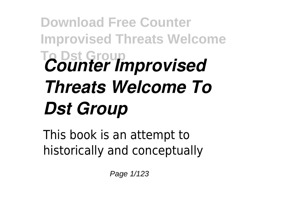## **Download Free Counter Improvised Threats Welcome To Dst Group** *Counter Improvised Threats Welcome To Dst Group*

This book is an attempt to historically and conceptually

Page 1/123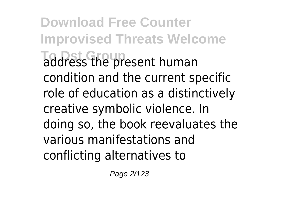**Download Free Counter Improvised Threats Welcome To Dst Group** address the present human condition and the current specific role of education as a distinctively creative symbolic violence. In doing so, the book reevaluates the various manifestations and conflicting alternatives to

Page 2/123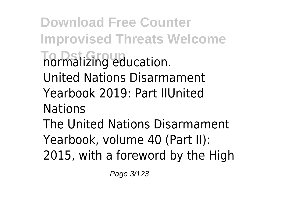**Download Free Counter Improvised Threats Welcome The mailsing education.** United Nations Disarmament Yearbook 2019: Part IIUnited Nations The United Nations Disarmament Yearbook, volume 40 (Part II): 2015, with a foreword by the High

Page 3/123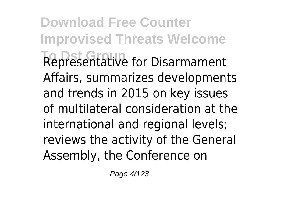**Download Free Counter Improvised Threats Welcome To Dst Group** Representative for Disarmament Affairs, summarizes developments and trends in 2015 on key issues of multilateral consideration at the international and regional levels; reviews the activity of the General Assembly, the Conference on

Page 4/123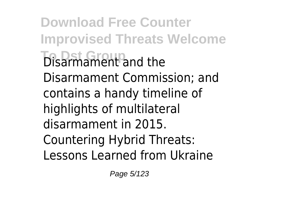**Download Free Counter Improvised Threats Welcome Disarmament and the** Disarmament Commission; and contains a handy timeline of highlights of multilateral disarmament in 2015. Countering Hybrid Threats: Lessons Learned from Ukraine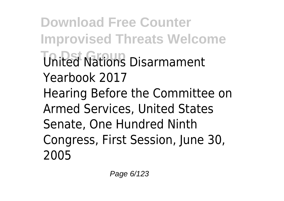**Download Free Counter Improvised Threats Welcome United Nations Disarmament** Yearbook 2017 Hearing Before the Committee on Armed Services, United States Senate, One Hundred Ninth Congress, First Session, June 30, 2005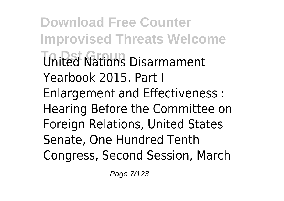**Download Free Counter Improvised Threats Welcome To Dst Group** United Nations Disarmament Yearbook 2015. Part I Enlargement and Effectiveness : Hearing Before the Committee on Foreign Relations, United States Senate, One Hundred Tenth Congress, Second Session, March

Page 7/123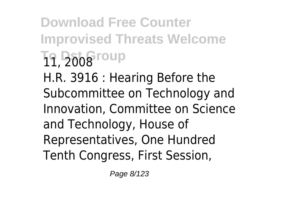**Download Free Counter Improvised Threats Welcome To Dst Group** 11, 2008 H.R. 3916 : Hearing Before the Subcommittee on Technology and Innovation, Committee on Science and Technology, House of Representatives, One Hundred Tenth Congress, First Session,

Page 8/123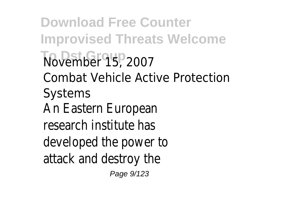**Download Free Counter Improvised Threats Welcome To Dst Group** November 15, 2007 Combat Vehicle Active Protection Systems An Eastern European research institute has developed the power to attack and destroy the Page 9/123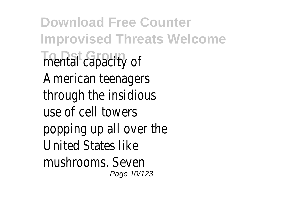**Download Free Counter Improvised Threats Welcome Thental capacity of** American teenagers through the insidious use of cell towers popping up all over the United States like mushrooms. Seven Page 10/123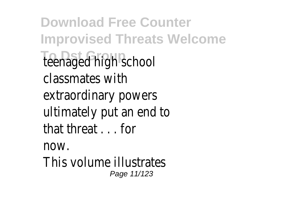**Download Free Counter Improvised Threats Welcome** teenaged high school classmates with extraordinary powers ultimately put an end to that threat . . . for now. This volume illustrates

Page 11/123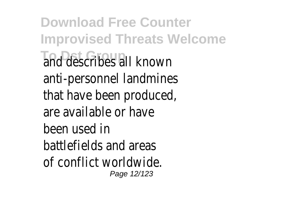**Download Free Counter Improvised Threats Welcome To Dst Group** and describes all known anti-personnel landmines that have been produced, are available or have been used in battlefields and areas of conflict worldwide. Page 12/123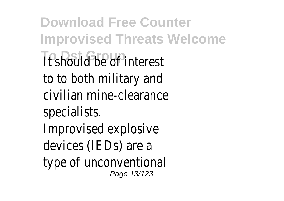**Download Free Counter Improvised Threats Welcome It should be of interest** to to both military and civilian mine-clearance specialists. Improvised explosive devices (IEDs) are a type of unconventional Page 13/123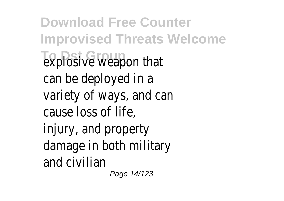**Download Free Counter Improvised Threats Welcome** explosive weapon that can be deployed in a variety of ways, and can cause loss of life, injury, and property damage in both military and civilian

Page 14/123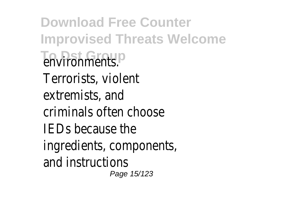**Download Free Counter Improvised Threats Welcome To Doments**. Terrorists, violent extremists, and criminals often choose IEDs because the ingredients, components, and instructions Page 15/123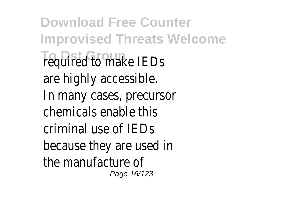**Download Free Counter Improvised Threats Welcome Tequired to make IEDs** are highly accessible. In many cases, precursor chemicals enable this criminal use of IEDs because they are used in the manufacture of Page 16/123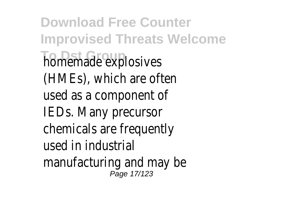**Download Free Counter Improvised Threats Welcome homemade explosives** (HMEs), which are often used as a component of IEDs. Many precursor chemicals are frequently used in industrial manufacturing and may be Page 17/123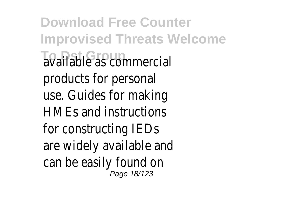**Download Free Counter Improvised Threats Welcome To Dst Group** available as commercial products for personal use. Guides for making HMEs and instructions for constructing IEDs are widely available and can be easily found on Page 18/123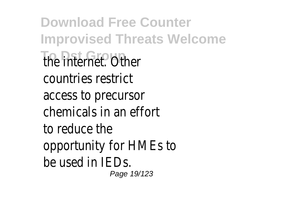**Download Free Counter Improvised Threats Welcome The internet. Other** countries restrict access to precursor chemicals in an effort to reduce the opportunity for HMEs to be used in IEDs. Page 19/123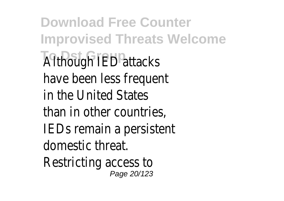**Download Free Counter Improvised Threats Welcome Although IED attacks** have been less frequent in the United States than in other countries, IEDs remain a persistent domestic threat. Restricting access to Page 20/123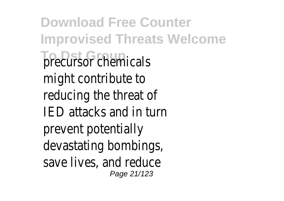**Download Free Counter Improvised Threats Welcome The District Precursor chemicals** might contribute to reducing the threat of IED attacks and in turn prevent potentially devastating bombings, save lives, and reduce Page 21/123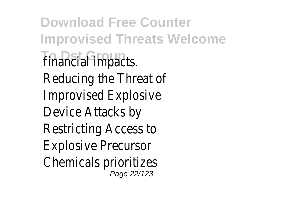**Download Free Counter Improvised Threats Welcome Tinancial impacts.** Reducing the Threat of Improvised Explosive Device Attacks by Restricting Access to Explosive Precursor Chemicals prioritizes Page 22/123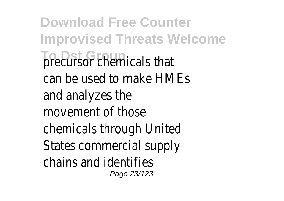**Download Free Counter Improvised Threats Welcome The District Precursor chemicals that** can be used to make HMEs and analyzes the movement of those chemicals through United States commercial supply chains and identifies Page 23/123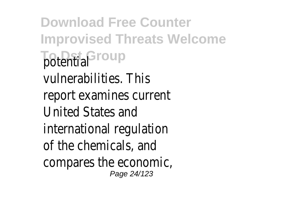**Download Free Counter Improvised Threats Welcome Totential Group** vulnerabilities. This report examines current United States and international regulation of the chemicals, and compares the economic, Page 24/123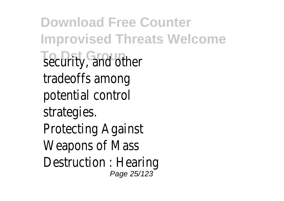**Download Free Counter Improvised Threats Welcome** security, and other tradeoffs among potential control strategies. Protecting Against Weapons of Mass Destruction : Hearing Page 25/123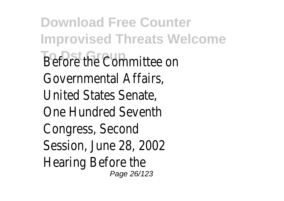**Download Free Counter Improvised Threats Welcome Before the Committee on** Governmental Affairs, United States Senate, One Hundred Seventh Congress, Second Session, June 28, 2002 Hearing Before the Page 26/123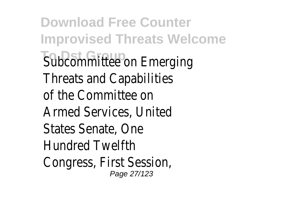**Download Free Counter Improvised Threats Welcome Subcommittee on Emerging** Threats and Capabilities of the Committee on Armed Services, United States Senate, One Hundred Twelfth Congress, First Session, Page 27/123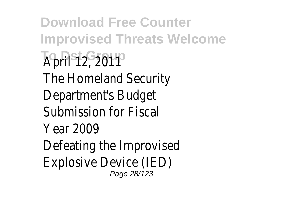**Download Free Counter Improvised Threats Welcome April 12, 2011** up The Homeland Security Department's Budget Submission for Fiscal Year 2009 Defeating the Improvised Explosive Device (IED) Page 28/123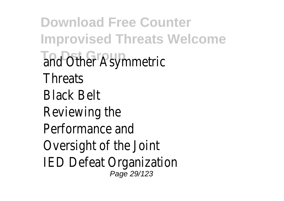**Download Free Counter Improvised Threats Welcome** and Other Asymmetric **Threats** Black Belt Reviewing the Performance and Oversight of the Joint IED Defeat Organization Page 29/123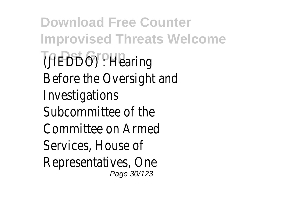**Download Free Counter Improvised Threats Welcome** (JIEDDO) : Hearing<sup>o</sup> Before the Oversight and Investigations Subcommittee of the Committee on Armed Services, House of Representatives, One Page 30/123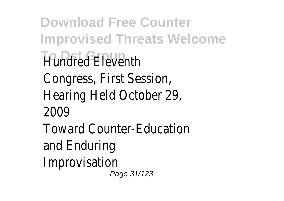**Download Free Counter Improvised Threats Welcome Hundred Fleventh** Congress, First Session, Hearing Held October 29, 2009 Toward Counter-Education and Enduring Improvisation Page 31/123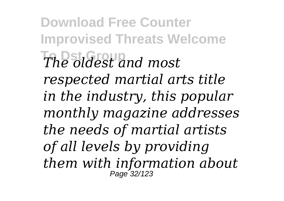**Download Free Counter Improvised Threats Welcome To Dst Group** *The oldest and most respected martial arts title in the industry, this popular monthly magazine addresses the needs of martial artists of all levels by providing them with information about* Page 32/123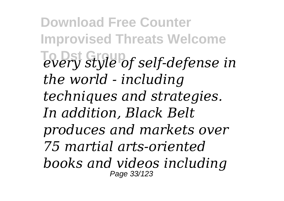**Download Free Counter Improvised Threats Welcome To Dst Group** *every style of self-defense in the world - including techniques and strategies. In addition, Black Belt produces and markets over 75 martial arts-oriented books and videos including* Page 33/123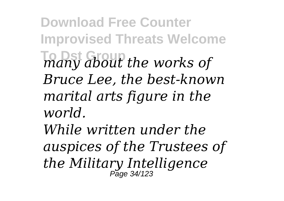**Download Free Counter Improvised Threats Welcome To Dst Group** *many about the works of Bruce Lee, the best-known marital arts figure in the world. While written under the*

*auspices of the Trustees of the Military Intelligence* Page 34/123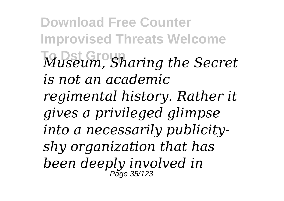**Download Free Counter Improvised Threats Welcome To Dst Group** *Museum, Sharing the Secret is not an academic regimental history. Rather it gives a privileged glimpse into a necessarily publicityshy organization that has been deeply involved in* Page 35/123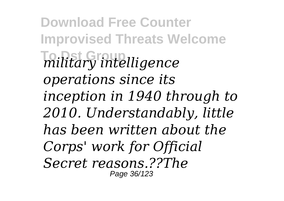**Download Free Counter Improvised Threats Welcome To Dst Group** *military intelligence operations since its inception in 1940 through to 2010. Understandably, little has been written about the Corps' work for Official Secret reasons.??The* Page 36/123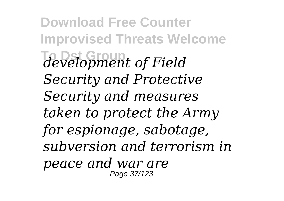**Download Free Counter Improvised Threats Welcome To Dst Group** *development of Field Security and Protective Security and measures taken to protect the Army for espionage, sabotage, subversion and terrorism in peace and war are* Page 37/123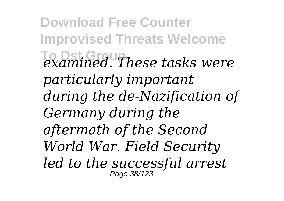**Download Free Counter Improvised Threats Welcome To Dst Group** *examined. These tasks were particularly important during the de-Nazification of Germany during the aftermath of the Second World War. Field Security led to the successful arrest* Page 38/123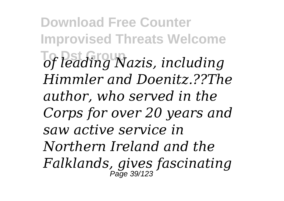**Download Free Counter Improvised Threats Welcome**  $\overline{C}$  *of leading Nazis, including Himmler and Doenitz.??The author, who served in the Corps for over 20 years and saw active service in Northern Ireland and the Falklands, gives fascinating* Page 39/123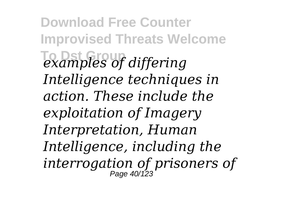**Download Free Counter Improvised Threats Welcome To Dst Group** *examples of differing Intelligence techniques in action. These include the exploitation of Imagery Interpretation, Human Intelligence, including the interrogation of prisoners of* Page 40/123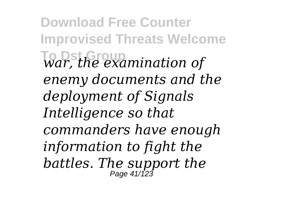**Download Free Counter Improvised Threats Welcome To Dst Group** *war, the examination of enemy documents and the deployment of Signals Intelligence so that commanders have enough information to fight the battles. The support the* Page 41/123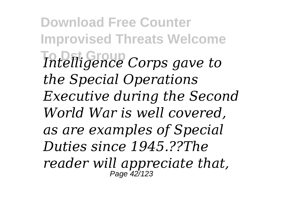**Download Free Counter Improvised Threats Welcome To Dst Group** *Intelligence Corps gave to the Special Operations Executive during the Second World War is well covered, as are examples of Special Duties since 1945.??The reader will appreciate that,* Page 42/123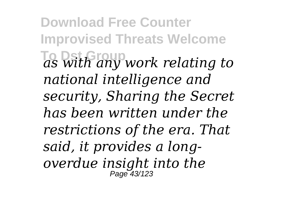**Download Free Counter Improvised Threats Welcome To Dst Group** *as with any work relating to national intelligence and security, Sharing the Secret has been written under the restrictions of the era. That said, it provides a longoverdue insight into the* Page 43/123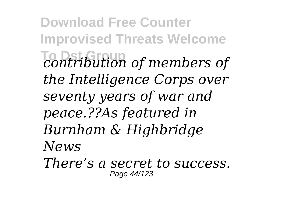**Download Free Counter Improvised Threats Welcome To Dst Group** *contribution of members of the Intelligence Corps over seventy years of war and peace.??As featured in Burnham & Highbridge News There's a secret to success.* Page 44/123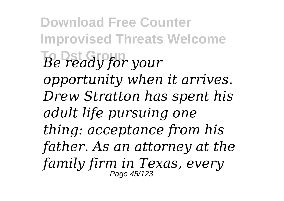**Download Free Counter Improvised Threats Welcome To Dst Group** *Be ready for your opportunity when it arrives. Drew Stratton has spent his adult life pursuing one thing: acceptance from his father. As an attorney at the family firm in Texas, every* Page 45/123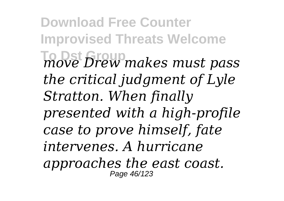**Download Free Counter Improvised Threats Welcome To Dst Group** *move Drew makes must pass the critical judgment of Lyle Stratton. When finally presented with a high-profile case to prove himself, fate intervenes. A hurricane approaches the east coast.* Page 46/123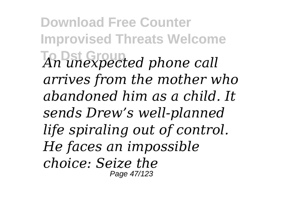**Download Free Counter Improvised Threats Welcome To Dst Group** *An unexpected phone call arrives from the mother who abandoned him as a child. It sends Drew's well-planned life spiraling out of control. He faces an impossible choice: Seize the* Page 47/123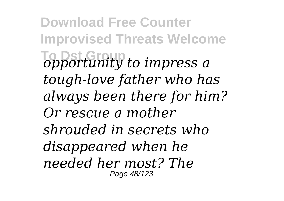**Download Free Counter Improvised Threats Welcome To Dst Group** *opportunity to impress a tough-love father who has always been there for him? Or rescue a mother shrouded in secrets who disappeared when he needed her most? The* Page 48/123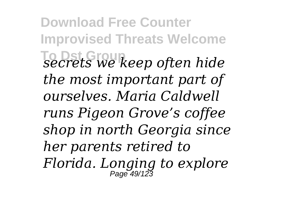**Download Free Counter Improvised Threats Welcome To Dst Group** *secrets we keep often hide the most important part of ourselves. Maria Caldwell runs Pigeon Grove's coffee shop in north Georgia since her parents retired to Florida. Longing to explore* Page 49/123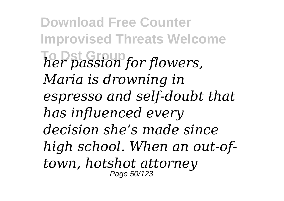**Download Free Counter Improvised Threats Welcome To Dst Group** *her passion for flowers, Maria is drowning in espresso and self-doubt that has influenced every decision she's made since high school. When an out-oftown, hotshot attorney* Page 50/123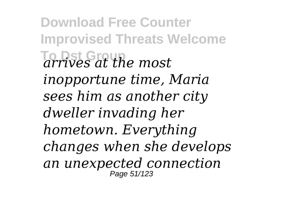**Download Free Counter Improvised Threats Welcome To Dst Group** *arrives at the most inopportune time, Maria sees him as another city dweller invading her hometown. Everything changes when she develops an unexpected connection* Page 51/123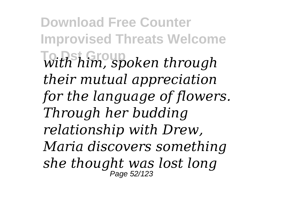**Download Free Counter Improvised Threats Welcome**  $With him, spoken through$ *their mutual appreciation for the language of flowers. Through her budding relationship with Drew, Maria discovers something she thought was lost long* Page 52/123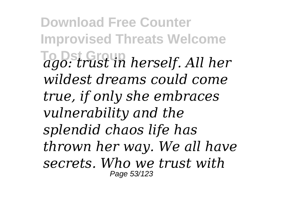**Download Free Counter Improvised Threats Welcome To Dst Group** *ago: trust in herself. All her wildest dreams could come true, if only she embraces vulnerability and the splendid chaos life has thrown her way. We all have secrets. Who we trust with* Page 53/123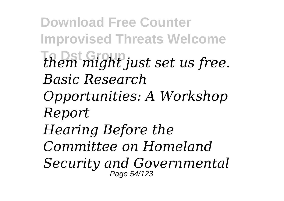**Download Free Counter Improvised Threats Welcome To Dst Group** *them might just set us free. Basic Research Opportunities: A Workshop Report Hearing Before the Committee on Homeland Security and Governmental* Page 54/123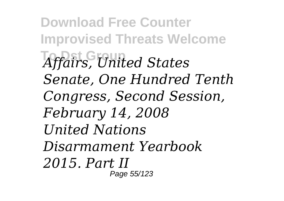**Download Free Counter Improvised Threats Welcome To Dst Group** *Affairs, United States Senate, One Hundred Tenth Congress, Second Session, February 14, 2008 United Nations Disarmament Yearbook 2015. Part II* Page 55/123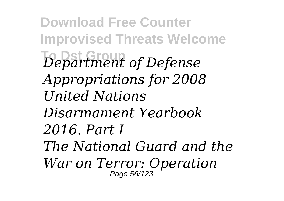**Download Free Counter Improvised Threats Welcome To Dst Group** *Department of Defense Appropriations for 2008 United Nations Disarmament Yearbook 2016. Part I The National Guard and the War on Terror: Operation* Page 56/123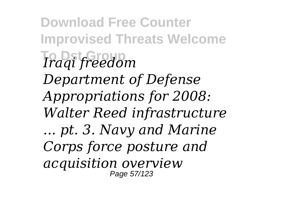**Download Free Counter Improvised Threats Welcome To Dst Group** *Iraqi freedom Department of Defense Appropriations for 2008: Walter Reed infrastructure ... pt. 3. Navy and Marine Corps force posture and acquisition overview* Page 57/123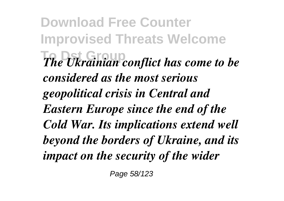**Download Free Counter Improvised Threats Welcome** *The Ukrainian conflict has come to be considered as the most serious geopolitical crisis in Central and Eastern Europe since the end of the Cold War. Its implications extend well beyond the borders of Ukraine, and its impact on the security of the wider*

Page 58/123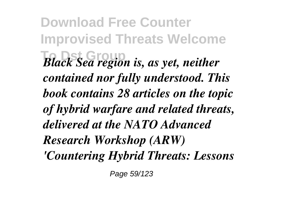**Download Free Counter Improvised Threats Welcome** *Black Sea region is, as yet, neither contained nor fully understood. This book contains 28 articles on the topic of hybrid warfare and related threats, delivered at the NATO Advanced Research Workshop (ARW) 'Countering Hybrid Threats: Lessons*

Page 59/123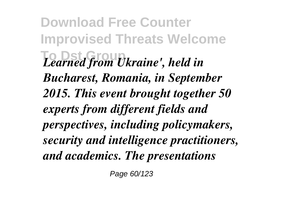**Download Free Counter Improvised Threats Welcome To Dst Group** *Learned from Ukraine', held in Bucharest, Romania, in September 2015. This event brought together 50 experts from different fields and perspectives, including policymakers, security and intelligence practitioners, and academics. The presentations*

Page 60/123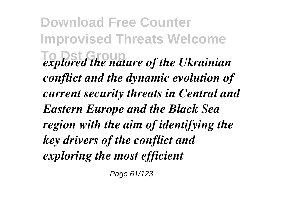**Download Free Counter Improvised Threats Welcome To Dst Group** *explored the nature of the Ukrainian conflict and the dynamic evolution of current security threats in Central and Eastern Europe and the Black Sea region with the aim of identifying the key drivers of the conflict and exploring the most efficient*

Page 61/123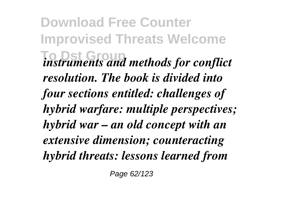**Download Free Counter Improvised Threats Welcome To Dst Group** *instruments and methods for conflict resolution. The book is divided into four sections entitled: challenges of hybrid warfare: multiple perspectives; hybrid war – an old concept with an extensive dimension; counteracting hybrid threats: lessons learned from*

Page 62/123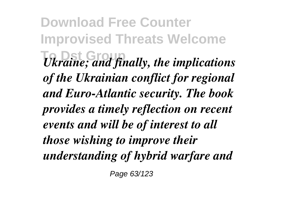**Download Free Counter Improvised Threats Welcome To Dst Group** *Ukraine; and finally, the implications of the Ukrainian conflict for regional and Euro-Atlantic security. The book provides a timely reflection on recent events and will be of interest to all those wishing to improve their understanding of hybrid warfare and*

Page 63/123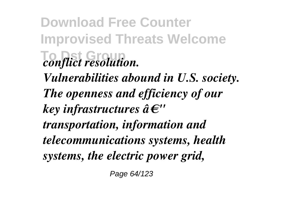**Download Free Counter Improvised Threats Welcome**  $conflict$  *resolution. Vulnerabilities abound in U.S. society. The openness and efficiency of our key infrastructures â€" transportation, information and telecommunications systems, health systems, the electric power grid,*

Page 64/123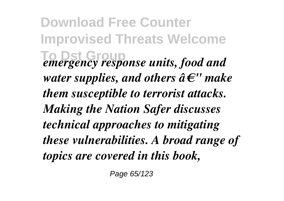**Download Free Counter Improvised Threats Welcome**  $T$ **emergency response units, food and** *water supplies, and others â€" make them susceptible to terrorist attacks. Making the Nation Safer discusses technical approaches to mitigating these vulnerabilities. A broad range of topics are covered in this book,*

Page 65/123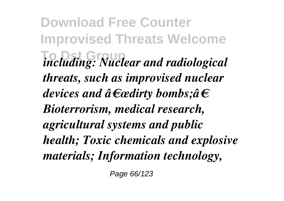**Download Free Counter Improvised Threats Welcome To Dst Group** *including: Nuclear and radiological threats, such as improvised nuclear devices and "dirty bombs;â€ Bioterrorism, medical research, agricultural systems and public health; Toxic chemicals and explosive materials; Information technology,*

Page 66/123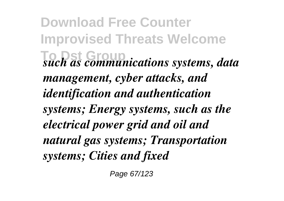**Download Free Counter Improvised Threats Welcome To Dst Group** *such as communications systems, data management, cyber attacks, and identification and authentication systems; Energy systems, such as the electrical power grid and oil and natural gas systems; Transportation systems; Cities and fixed*

Page 67/123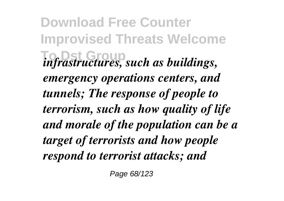**Download Free Counter Improvised Threats Welcome** *infrastructures, such as buildings, emergency operations centers, and tunnels; The response of people to terrorism, such as how quality of life and morale of the population can be a target of terrorists and how people respond to terrorist attacks; and*

Page 68/123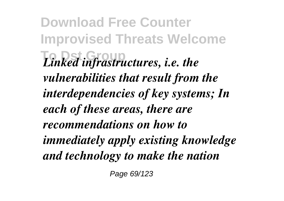**Download Free Counter Improvised Threats Welcome**  $Linked$  *infrastructures, i.e. the vulnerabilities that result from the interdependencies of key systems; In each of these areas, there are recommendations on how to immediately apply existing knowledge and technology to make the nation*

Page 69/123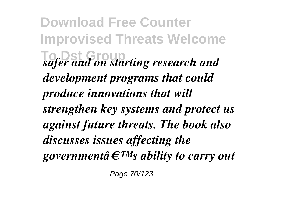**Download Free Counter Improvised Threats Welcome To Dst Group** *safer and on starting research and development programs that could produce innovations that will strengthen key systems and protect us against future threats. The book also discusses issues affecting the governmentâ* $\epsilon^{TM}$ *s ability to carry out* 

Page 70/123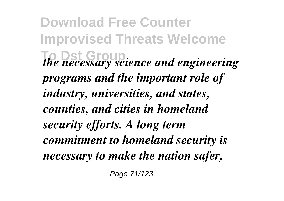**Download Free Counter Improvised Threats Welcome** *The necessary science and engineering programs and the important role of industry, universities, and states, counties, and cities in homeland security efforts. A long term commitment to homeland security is necessary to make the nation safer,*

Page 71/123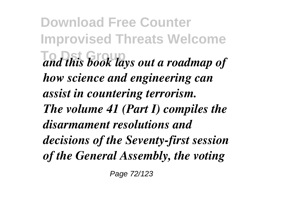**Download Free Counter Improvised Threats Welcome To Dst Group** *and this book lays out a roadmap of how science and engineering can assist in countering terrorism. The volume 41 (Part I) compiles the disarmament resolutions and decisions of the Seventy-first session of the General Assembly, the voting*

Page 72/123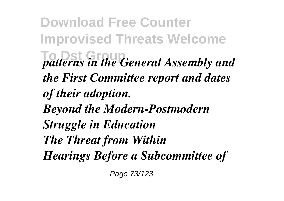**Download Free Counter Improvised Threats Welcome**  $T$ *patterns in the General Assembly and the First Committee report and dates of their adoption. Beyond the Modern-Postmodern Struggle in Education The Threat from Within Hearings Before a Subcommittee of*

Page 73/123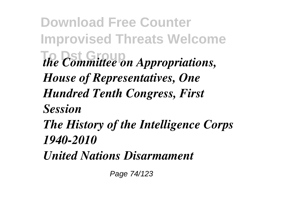**Download Free Counter Improvised Threats Welcome** *the Committee on Appropriations, House of Representatives, One Hundred Tenth Congress, First Session The History of the Intelligence Corps 1940-2010 United Nations Disarmament*

Page 74/123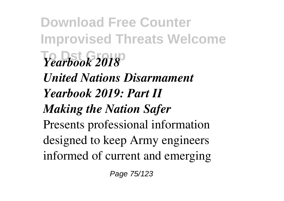**Download Free Counter Improvised Threats Welcome To Dst Group** *Yearbook 2018 United Nations Disarmament Yearbook 2019: Part II Making the Nation Safer* Presents professional information designed to keep Army engineers informed of current and emerging

Page 75/123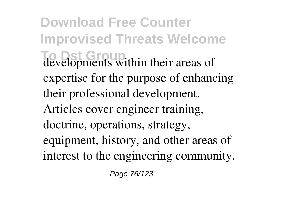**Download Free Counter Improvised Threats Welcome To Dst Group** developments within their areas of expertise for the purpose of enhancing their professional development. Articles cover engineer training, doctrine, operations, strategy, equipment, history, and other areas of interest to the engineering community.

Page 76/123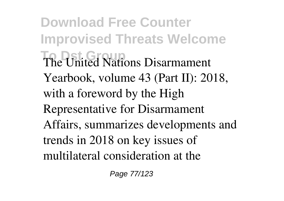**Download Free Counter Improvised Threats Welcome The United Nations Disarmament** Yearbook, volume 43 (Part II): 2018, with a foreword by the High Representative for Disarmament Affairs, summarizes developments and trends in 2018 on key issues of multilateral consideration at the

Page 77/123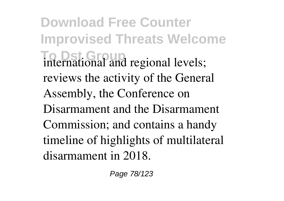**Download Free Counter Improvised Threats Welcome To Dst Group** international and regional levels; reviews the activity of the General Assembly, the Conference on Disarmament and the Disarmament Commission; and contains a handy timeline of highlights of multilateral disarmament in 2018.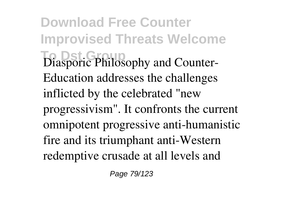**Download Free Counter Improvised Threats Welcome To Dst Group** Diasporic Philosophy and Counter-Education addresses the challenges inflicted by the celebrated "new progressivism". It confronts the current omnipotent progressive anti-humanistic fire and its triumphant anti-Western redemptive crusade at all levels and

Page 79/123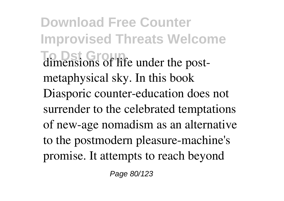**Download Free Counter Improvised Threats Welcome To Dst. Group** dimensions of life under the postmetaphysical sky. In this book Diasporic counter-education does not surrender to the celebrated temptations of new-age nomadism as an alternative to the postmodern pleasure-machine's promise. It attempts to reach beyond

Page 80/123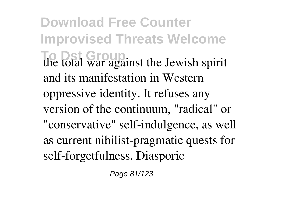**Download Free Counter Improvised Threats Welcome To Dst Group** the total war against the Jewish spirit and its manifestation in Western oppressive identity. It refuses any version of the continuum, "radical" or "conservative" self-indulgence, as well as current nihilist-pragmatic quests for self-forgetfulness. Diasporic

Page 81/123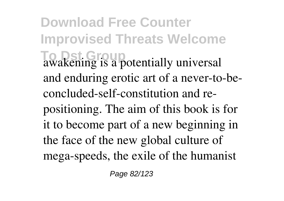**Download Free Counter Improvised Threats Welcome To Dst Group** awakening is a potentially universal and enduring erotic art of a never-to-beconcluded-self-constitution and repositioning. The aim of this book is for it to become part of a new beginning in the face of the new global culture of mega-speeds, the exile of the humanist

Page 82/123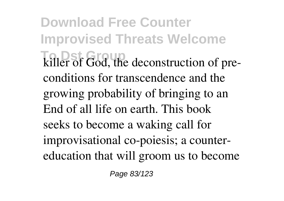**Download Free Counter Improvised Threats Welcome To Dst Group** killer of God, the deconstruction of preconditions for transcendence and the growing probability of bringing to an End of all life on earth. This book seeks to become a waking call for improvisational co-poiesis; a countereducation that will groom us to become

Page 83/123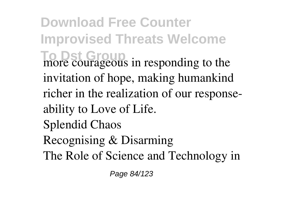**Download Free Counter Improvised Threats Welcome To Dst Group** more courageous in responding to the invitation of hope, making humankind richer in the realization of our responseability to Love of Life. Splendid Chaos Recognising & Disarming The Role of Science and Technology in

Page 84/123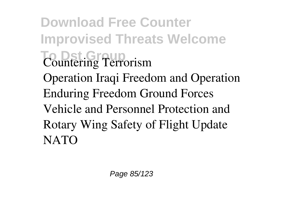**Download Free Counter Improvised Threats Welcome To District Group** Terrorism Operation Iraqi Freedom and Operation Enduring Freedom Ground Forces Vehicle and Personnel Protection and Rotary Wing Safety of Flight Update **NATO**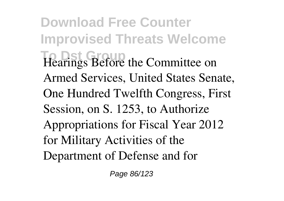**Download Free Counter Improvised Threats Welcome To Dst Group** Hearings Before the Committee on Armed Services, United States Senate, One Hundred Twelfth Congress, First Session, on S. 1253, to Authorize Appropriations for Fiscal Year 2012 for Military Activities of the Department of Defense and for

Page 86/123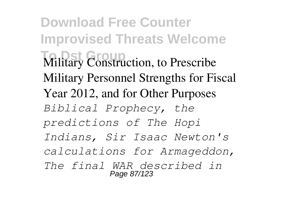**Download Free Counter Improvised Threats Welcome The Droup Military Construction, to Prescribe** Military Personnel Strengths for Fiscal Year 2012, and for Other Purposes *Biblical Prophecy, the predictions of The Hopi Indians, Sir Isaac Newton's calculations for Armageddon, The final WAR described in* Page 87/123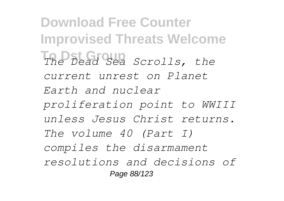**Download Free Counter Improvised Threats Welcome To Dst Group** *The Dead Sea Scrolls, the current unrest on Planet Earth and nuclear proliferation point to WWIII unless Jesus Christ returns. The volume 40 (Part I) compiles the disarmament resolutions and decisions of* Page 88/123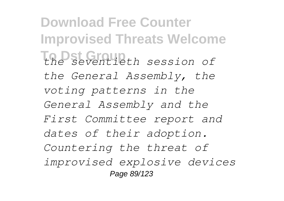**Download Free Counter Improvised Threats Welcome To Dst Group** *the seventieth session of the General Assembly, the voting patterns in the General Assembly and the First Committee report and dates of their adoption. Countering the threat of improvised explosive devices* Page 89/123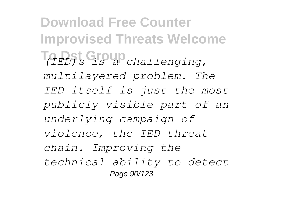**Download Free Counter Improvised Threats Welcome To Dst Group** *(IED)s is a challenging, multilayered problem. The IED itself is just the most publicly visible part of an underlying campaign of violence, the IED threat chain. Improving the technical ability to detect* Page 90/123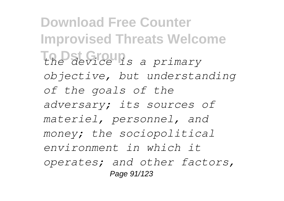**Download Free Counter Improvised Threats Welcome To Dst Group** *the device is a primary objective, but understanding of the goals of the adversary; its sources of materiel, personnel, and money; the sociopolitical environment in which it operates; and other factors,* Page 91/123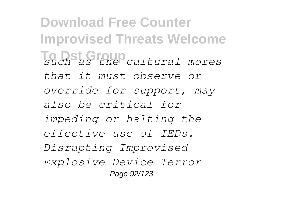**Download Free Counter Improvised Threats Welcome To Dst Group** *such as the cultural mores that it must observe or override for support, may also be critical for impeding or halting the effective use of IEDs. Disrupting Improvised Explosive Device Terror* Page 92/123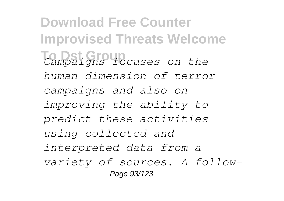**Download Free Counter Improvised Threats Welcome To Dst Group** *Campaigns focuses on the human dimension of terror campaigns and also on improving the ability to predict these activities using collected and interpreted data from a variety of sources. A follow-*Page 93/123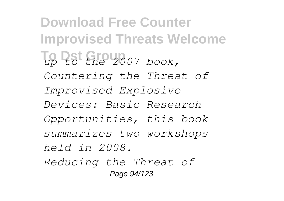**Download Free Counter Improvised Threats Welcome To Dst Group** *up to the 2007 book, Countering the Threat of Improvised Explosive Devices: Basic Research Opportunities, this book summarizes two workshops held in 2008. Reducing the Threat of* Page 94/123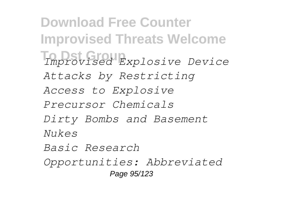**Download Free Counter Improvised Threats Welcome To Dst Group** *Improvised Explosive Device Attacks by Restricting Access to Explosive Precursor Chemicals Dirty Bombs and Basement Nukes Basic Research Opportunities: Abbreviated* Page 95/123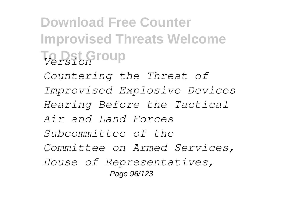**Download Free Counter Improvised Threats Welcome To Dst Group** *Version Countering the Threat of Improvised Explosive Devices Hearing Before the Tactical Air and Land Forces Subcommittee of the Committee on Armed Services, House of Representatives,* Page 96/123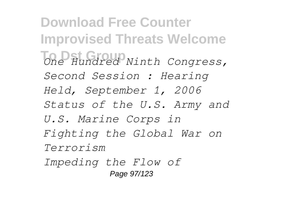**Download Free Counter Improvised Threats Welcome To Dst Group** *One Hundred Ninth Congress, Second Session : Hearing Held, September 1, 2006 Status of the U.S. Army and U.S. Marine Corps in Fighting the Global War on Terrorism Impeding the Flow of* Page 97/123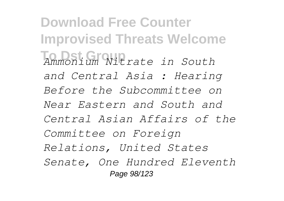**Download Free Counter Improvised Threats Welcome To Dst Group** *Ammonium Nitrate in South and Central Asia : Hearing Before the Subcommittee on Near Eastern and South and Central Asian Affairs of the Committee on Foreign Relations, United States Senate, One Hundred Eleventh* Page 98/123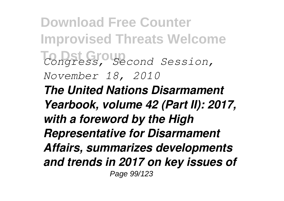**Download Free Counter Improvised Threats Welcome To Dst Group** *Congress, Second Session, November 18, 2010 The United Nations Disarmament Yearbook, volume 42 (Part II): 2017, with a foreword by the High Representative for Disarmament Affairs, summarizes developments and trends in 2017 on key issues of* Page 99/123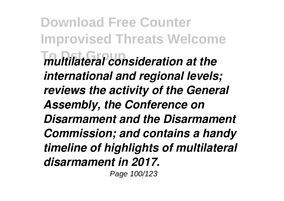**Download Free Counter Improvised Threats Welcome To Dst Group** *multilateral consideration at the international and regional levels; reviews the activity of the General Assembly, the Conference on Disarmament and the Disarmament Commission; and contains a handy timeline of highlights of multilateral disarmament in 2017.* Page 100/123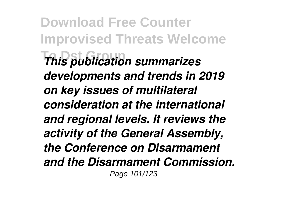**Download Free Counter Improvised Threats Welcome To Dst Group** *This publication summarizes developments and trends in 2019 on key issues of multilateral consideration at the international and regional levels. It reviews the activity of the General Assembly, the Conference on Disarmament and the Disarmament Commission.* Page 101/123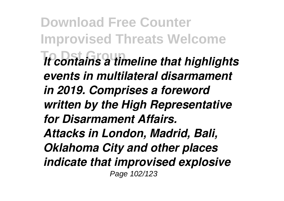**Download Free Counter Improvised Threats Welcome To Dst Group** *It contains a timeline that highlights events in multilateral disarmament in 2019. Comprises a foreword written by the High Representative for Disarmament Affairs. Attacks in London, Madrid, Bali, Oklahoma City and other places indicate that improvised explosive* Page 102/123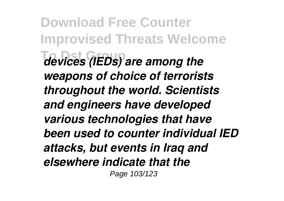**Download Free Counter Improvised Threats Welcome To Dst Group** *devices (IEDs) are among the weapons of choice of terrorists throughout the world. Scientists and engineers have developed various technologies that have been used to counter individual IED attacks, but events in Iraq and elsewhere indicate that the* Page 103/123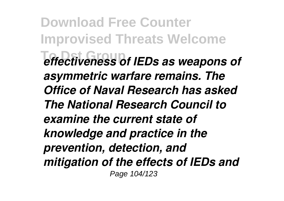**Download Free Counter Improvised Threats Welcome To Dst Group** *effectiveness of IEDs as weapons of asymmetric warfare remains. The Office of Naval Research has asked The National Research Council to examine the current state of knowledge and practice in the prevention, detection, and mitigation of the effects of IEDs and* Page 104/123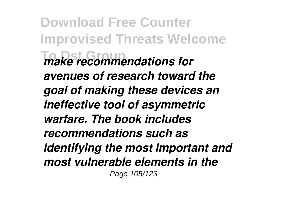**Download Free Counter Improvised Threats Welcome To Dst Group** *make recommendations for avenues of research toward the goal of making these devices an ineffective tool of asymmetric warfare. The book includes recommendations such as identifying the most important and most vulnerable elements in the* Page 105/123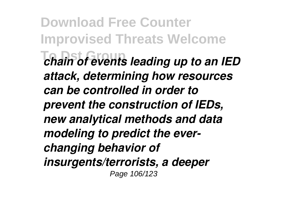**Download Free Counter Improvised Threats Welcome To Dst Group** *chain of events leading up to an IED attack, determining how resources can be controlled in order to prevent the construction of IEDs, new analytical methods and data modeling to predict the everchanging behavior of insurgents/terrorists, a deeper* Page 106/123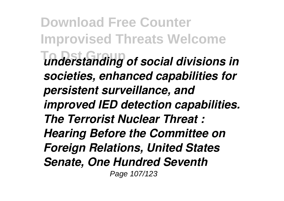**Download Free Counter Improvised Threats Welcome To Dst Group** *understanding of social divisions in societies, enhanced capabilities for persistent surveillance, and improved IED detection capabilities. The Terrorist Nuclear Threat : Hearing Before the Committee on Foreign Relations, United States Senate, One Hundred Seventh* Page 107/123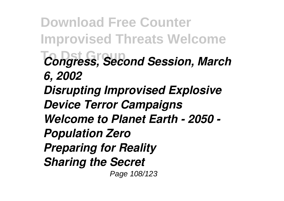**Download Free Counter Improvised Threats Welcome To Dst Group** *Congress, Second Session, March 6, 2002 Disrupting Improvised Explosive Device Terror Campaigns Welcome to Planet Earth - 2050 - Population Zero Preparing for Reality Sharing the Secret* Page 108/123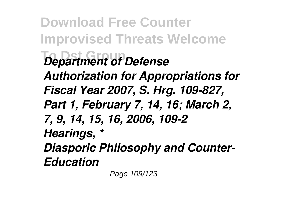**Download Free Counter Improvised Threats Welcome Department of Defense** *Authorization for Appropriations for Fiscal Year 2007, S. Hrg. 109-827, Part 1, February 7, 14, 16; March 2, 7, 9, 14, 15, 16, 2006, 109-2 Hearings, \* Diasporic Philosophy and Counter-Education*

Page 109/123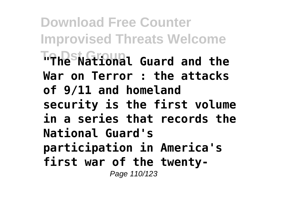**Download Free Counter Improvised Threats Welcome To Dst Group "The National Guard and the War on Terror : the attacks of 9/11 and homeland security is the first volume in a series that records the National Guard's participation in America's first war of the twenty-**Page 110/123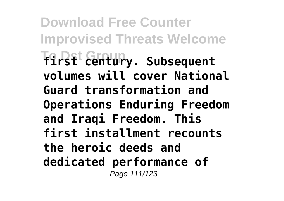**Download Free Counter Improvised Threats Welcome To Dst Group first century. Subsequent volumes will cover National Guard transformation and Operations Enduring Freedom and Iraqi Freedom. This first installment recounts the heroic deeds and dedicated performance of** Page 111/123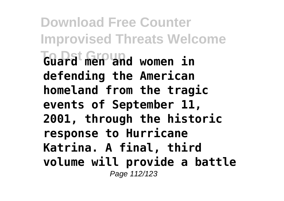**Download Free Counter Improvised Threats Welcome To Dst Group Guard men and women in defending the American homeland from the tragic events of September 11, 2001, through the historic response to Hurricane Katrina. A final, third volume will provide a battle** Page 112/123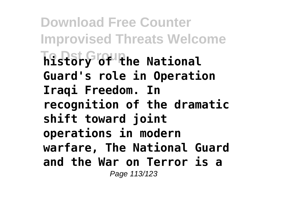**Download Free Counter Improvised Threats Welcome To Dst Group history of the National Guard's role in Operation Iraqi Freedom. In recognition of the dramatic shift toward joint operations in modern warfare, The National Guard and the War on Terror is a** Page 113/123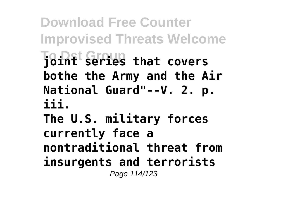**Download Free Counter Improvised Threats Welcome To Dst Group joint series that covers bothe the Army and the Air National Guard"--V. 2. p. iii.**

**The U.S. military forces currently face a nontraditional threat from insurgents and terrorists** Page 114/123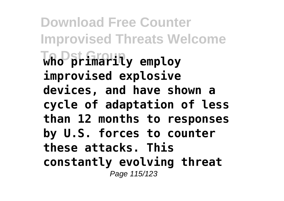**Download Free Counter Improvised Threats Welcome To Dst Group who primarily employ improvised explosive devices, and have shown a cycle of adaptation of less than 12 months to responses by U.S. forces to counter these attacks. This constantly evolving threat** Page 115/123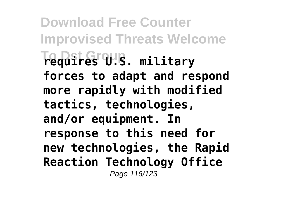**Download Free Counter Improvised Threats Welcome To Dst Group requires U.S. military forces to adapt and respond more rapidly with modified tactics, technologies, and/or equipment. In response to this need for new technologies, the Rapid Reaction Technology Office** Page 116/123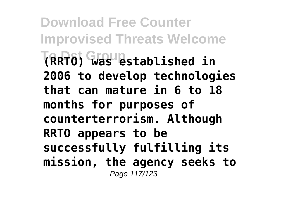**Download Free Counter Improvised Threats Welcome To Dst Group (RRTO) was established in 2006 to develop technologies that can mature in 6 to 18 months for purposes of counterterrorism. Although RRTO appears to be successfully fulfilling its mission, the agency seeks to** Page 117/123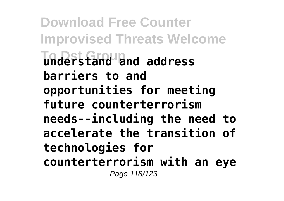**Download Free Counter Improvised Threats Welcome To Dst Group understand and address barriers to and opportunities for meeting future counterterrorism needs--including the need to accelerate the transition of technologies for counterterrorism with an eye** Page 118/123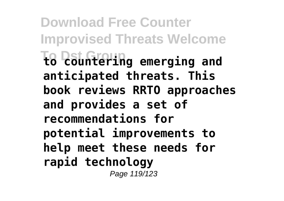**Download Free Counter Improvised Threats Welcome To Dst Group to countering emerging and anticipated threats. This book reviews RRTO approaches and provides a set of recommendations for potential improvements to help meet these needs for rapid technology** Page 119/123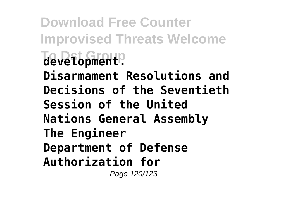## **Download Free Counter Improvised Threats Welcome To Dst Group development. Disarmament Resolutions and**

- **Decisions of the Seventieth Session of the United**
- **Nations General Assembly**
- **The Engineer**
- **Department of Defense**
- **Authorization for**

Page 120/123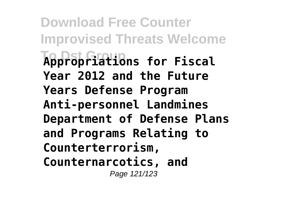**Download Free Counter Improvised Threats Welcome To Dst Group Appropriations for Fiscal Year 2012 and the Future Years Defense Program Anti-personnel Landmines Department of Defense Plans and Programs Relating to Counterterrorism, Counternarcotics, and** Page 121/123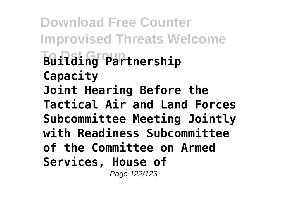**Download Free Counter Improvised Threats Welcome To Dst Group Building Partnership Capacity Joint Hearing Before the Tactical Air and Land Forces Subcommittee Meeting Jointly with Readiness Subcommittee of the Committee on Armed Services, House of** Page 122/123